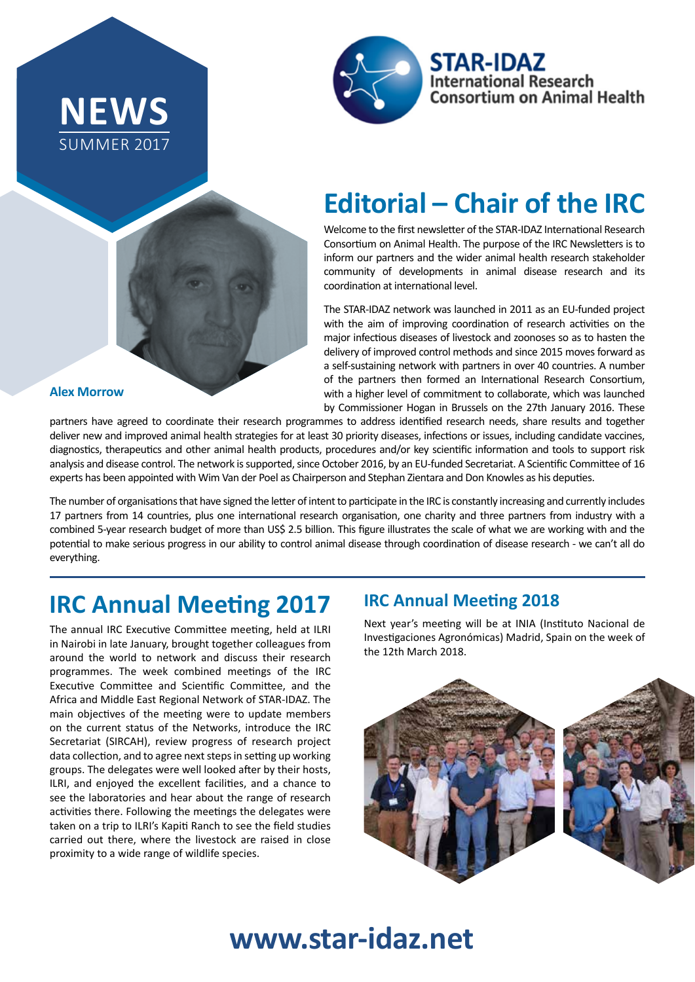





## **Editorial – Chair of the IRC**

Welcome to the first newsletter of the STAR-IDAZ International Research Consortium on Animal Health. The purpose of the IRC Newsletters is to inform our partners and the wider animal health research stakeholder community of developments in animal disease research and its coordination at international level.

The STAR-IDAZ network was launched in 2011 as an EU-funded project with the aim of improving coordination of research activities on the major infectious diseases of livestock and zoonoses so as to hasten the delivery of improved control methods and since 2015 moves forward as a self-sustaining network with partners in over 40 countries. A number of the partners then formed an International Research Consortium, with a higher level of commitment to collaborate, which was launched by Commissioner Hogan in Brussels on the 27th January 2016. These

**Alex Morrow**

partners have agreed to coordinate their research programmes to address identified research needs, share results and together deliver new and improved animal health strategies for at least 30 priority diseases, infections or issues, including candidate vaccines, diagnostics, therapeutics and other animal health products, procedures and/or key scientific information and tools to support risk analysis and disease control. The network is supported, since October 2016, by an EU-funded Secretariat. A Scientific Committee of 16 experts has been appointed with Wim Van der Poel as Chairperson and Stephan Zientara and Don Knowles as his deputies.

The number of organisations that have signed the letter of intent to participate in the IRC is constantly increasing and currently includes 17 partners from 14 countries, plus one international research organisation, one charity and three partners from industry with a combined 5-year research budget of more than US\$ 2.5 billion. This figure illustrates the scale of what we are working with and the potential to make serious progress in our ability to control animal disease through coordination of disease research - we can't all do everything.

## **IRC Annual Meeting 2017**

The annual IRC Executive Committee meeting, held at ILRI in Nairobi in late January, brought together colleagues from around the world to network and discuss their research programmes. The week combined meetings of the IRC Executive Committee and Scientific Committee, and the Africa and Middle East Regional Network of STAR-IDAZ. The main objectives of the meeting were to update members on the current status of the Networks, introduce the IRC Secretariat (SIRCAH), review progress of research project data collection, and to agree next steps in setting up working groups. The delegates were well looked after by their hosts, ILRI, and enjoyed the excellent facilities, and a chance to see the laboratories and hear about the range of research activities there. Following the meetings the delegates were taken on a trip to ILRI's Kapiti Ranch to see the field studies carried out there, where the livestock are raised in close proximity to a wide range of wildlife species.

#### **IRC Annual Meeting 2018**

Next year's meeting will be at INIA (Instituto Nacional de Investigaciones Agronómicas) Madrid, Spain on the week of the 12th March 2018.



# **www.star-idaz.net**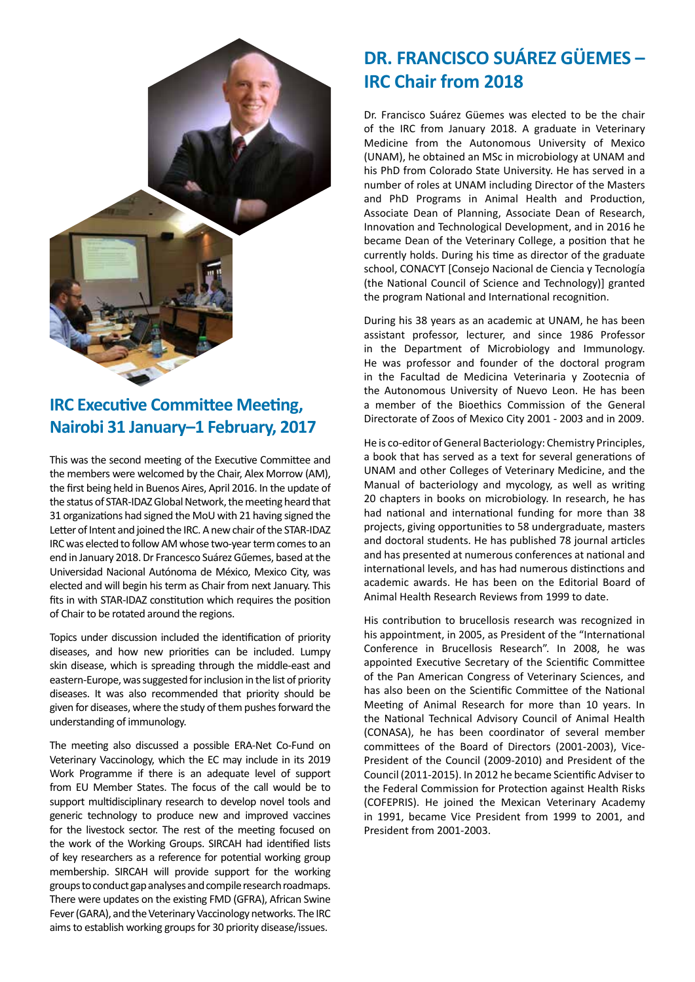

#### **IRC Executive Committee Meeting, Nairobi 31 January–1 February, 2017**

This was the second meeting of the Executive Committee and the members were welcomed by the Chair, Alex Morrow (AM), the first being held in Buenos Aires, April 2016. In the update of the status of STAR-IDAZ Global Network, the meeting heard that 31 organizations had signed the MoU with 21 having signed the Letter of Intent and joined the IRC. A new chair of the STAR-IDAZ IRC was elected to follow AM whose two-year term comes to an end in January 2018. Dr Francesco Suárez Gűemes, based at the Universidad Nacional Autónoma de México, Mexico City, was elected and will begin his term as Chair from next January. This fits in with STAR-IDAZ constitution which requires the position of Chair to be rotated around the regions.

Topics under discussion included the identification of priority diseases, and how new priorities can be included. Lumpy skin disease, which is spreading through the middle-east and eastern-Europe, was suggested for inclusion in the list of priority diseases. It was also recommended that priority should be given for diseases, where the study of them pushes forward the understanding of immunology.

The meeting also discussed a possible ERA-Net Co-Fund on Veterinary Vaccinology, which the EC may include in its 2019 Work Programme if there is an adequate level of support from EU Member States. The focus of the call would be to support multidisciplinary research to develop novel tools and generic technology to produce new and improved vaccines for the livestock sector. The rest of the meeting focused on the work of the Working Groups. SIRCAH had identified lists of key researchers as a reference for potential working group membership. SIRCAH will provide support for the working groups to conduct gap analyses and compile research roadmaps. There were updates on the existing FMD (GFRA), African Swine Fever (GARA), and the Veterinary Vaccinology networks. The IRC aims to establish working groups for 30 priority disease/issues.

## **DR. FRANCISCO SUÁREZ GÜEMES – IRC Chair from 2018**

Dr. Francisco Suárez Güemes was elected to be the chair of the IRC from January 2018. A graduate in Veterinary Medicine from the Autonomous University of Mexico (UNAM), he obtained an MSc in microbiology at UNAM and his PhD from Colorado State University. He has served in a number of roles at UNAM including Director of the Masters and PhD Programs in Animal Health and Production, Associate Dean of Planning, Associate Dean of Research, Innovation and Technological Development, and in 2016 he became Dean of the Veterinary College, a position that he currently holds. During his time as director of the graduate school, CONACYT [Consejo Nacional de Ciencia y Tecnología (the National Council of Science and Technology)] granted the program National and International recognition.

During his 38 years as an academic at UNAM, he has been assistant professor, lecturer, and since 1986 Professor in the Department of Microbiology and Immunology. He was professor and founder of the doctoral program in the Facultad de Medicina Veterinaria y Zootecnia of the Autonomous University of Nuevo Leon. He has been a member of the Bioethics Commission of the General Directorate of Zoos of Mexico City 2001 - 2003 and in 2009.

He is co-editor of General Bacteriology: Chemistry Principles, a book that has served as a text for several generations of UNAM and other Colleges of Veterinary Medicine, and the Manual of bacteriology and mycology, as well as writing 20 chapters in books on microbiology. In research, he has had national and international funding for more than 38 projects, giving opportunities to 58 undergraduate, masters and doctoral students. He has published 78 journal articles and has presented at numerous conferences at national and international levels, and has had numerous distinctions and academic awards. He has been on the Editorial Board of Animal Health Research Reviews from 1999 to date.

His contribution to brucellosis research was recognized in his appointment, in 2005, as President of the "International Conference in Brucellosis Research". In 2008, he was appointed Executive Secretary of the Scientific Committee of the Pan American Congress of Veterinary Sciences, and has also been on the Scientific Committee of the National Meeting of Animal Research for more than 10 years. In the National Technical Advisory Council of Animal Health (CONASA), he has been coordinator of several member committees of the Board of Directors (2001-2003), Vice-President of the Council (2009-2010) and President of the Council (2011-2015). In 2012 he became Scientific Adviser to the Federal Commission for Protection against Health Risks (COFEPRIS). He joined the Mexican Veterinary Academy in 1991, became Vice President from 1999 to 2001, and President from 2001-2003.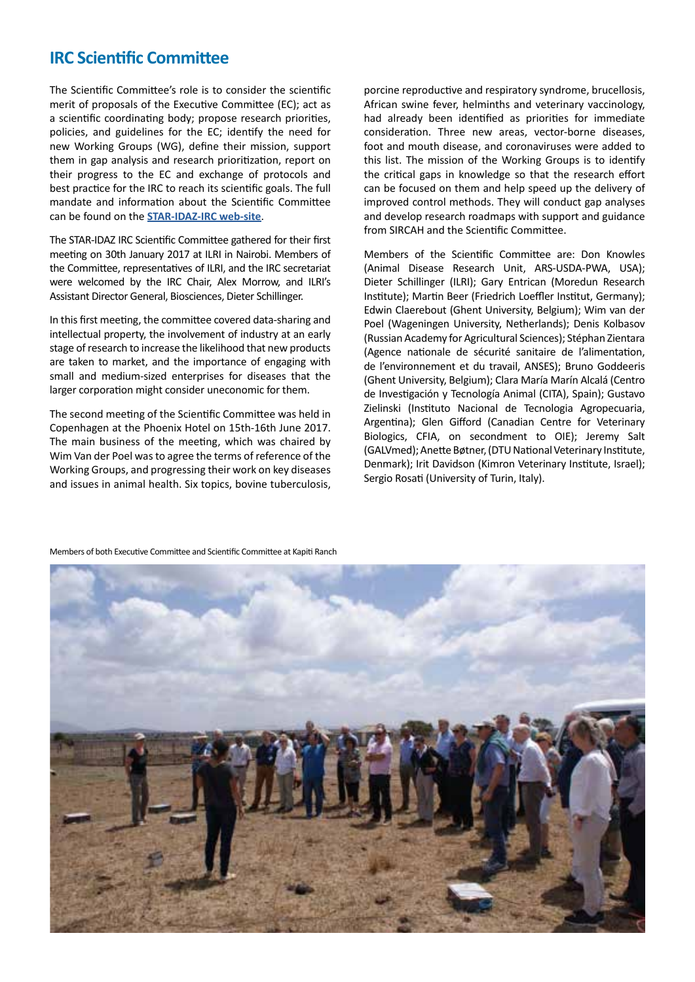#### **IRC Scientific Committee**

The Scientific Committee's role is to consider the scientific merit of proposals of the Executive Committee (EC); act as a scientific coordinating body; propose research priorities, policies, and guidelines for the EC; identify the need for new Working Groups (WG), define their mission, support them in gap analysis and research prioritization, report on their progress to the EC and exchange of protocols and best practice for the IRC to reach its scientific goals. The full mandate and information about the Scientific Committee can be found on the **STAR-IDAZ-IRC web-site**.

The STAR-IDAZ IRC Scientific Committee gathered for their first meeting on 30th January 2017 at ILRI in Nairobi. Members of the Committee, representatives of ILRI, and the IRC secretariat were welcomed by the IRC Chair, Alex Morrow, and ILRI's Assistant Director General, Biosciences, Dieter Schillinger.

In this first meeting, the committee covered data-sharing and intellectual property, the involvement of industry at an early stage of research to increase the likelihood that new products are taken to market, and the importance of engaging with small and medium-sized enterprises for diseases that the larger corporation might consider uneconomic for them.

The second meeting of the Scientific Committee was held in Copenhagen at the Phoenix Hotel on 15th-16th June 2017. The main business of the meeting, which was chaired by Wim Van der Poel was to agree the terms of reference of the Working Groups, and progressing their work on key diseases and issues in animal health. Six topics, bovine tuberculosis, porcine reproductive and respiratory syndrome, brucellosis, African swine fever, helminths and veterinary vaccinology, had already been identified as priorities for immediate consideration. Three new areas, vector-borne diseases, foot and mouth disease, and coronaviruses were added to this list. The mission of the Working Groups is to identify the critical gaps in knowledge so that the research effort can be focused on them and help speed up the delivery of improved control methods. They will conduct gap analyses and develop research roadmaps with support and guidance from SIRCAH and the Scientific Committee.

Members of the Scientific Committee are: Don Knowles (Animal Disease Research Unit, ARS-USDA-PWA, USA); Dieter Schillinger (ILRI); Gary Entrican (Moredun Research Institute); Martin Beer (Friedrich Loeffler Institut, Germany); Edwin Claerebout (Ghent University, Belgium); Wim van der Poel (Wageningen University, Netherlands); Denis Kolbasov (Russian Academy for Agricultural Sciences); Stéphan Zientara (Agence nationale de sécurité sanitaire de l'alimentation, de l'environnement et du travail, ANSES); Bruno Goddeeris (Ghent University, Belgium); Clara María Marín Alcalá (Centro de Investigación y Tecnología Animal (CITA), Spain); Gustavo Zielinski (Instituto Nacional de Tecnologia Agropecuaria, Argentina); Glen Gifford (Canadian Centre for Veterinary Biologics, CFIA, on secondment to OIE); Jeremy Salt (GALVmed); Anette Bøtner, (DTU National Veterinary Institute, Denmark); Irit Davidson (Kimron Veterinary Institute, Israel); Sergio Rosati (University of Turin, Italy).



Members of both Executive Committee and Scientific Committee at Kapiti Ranch